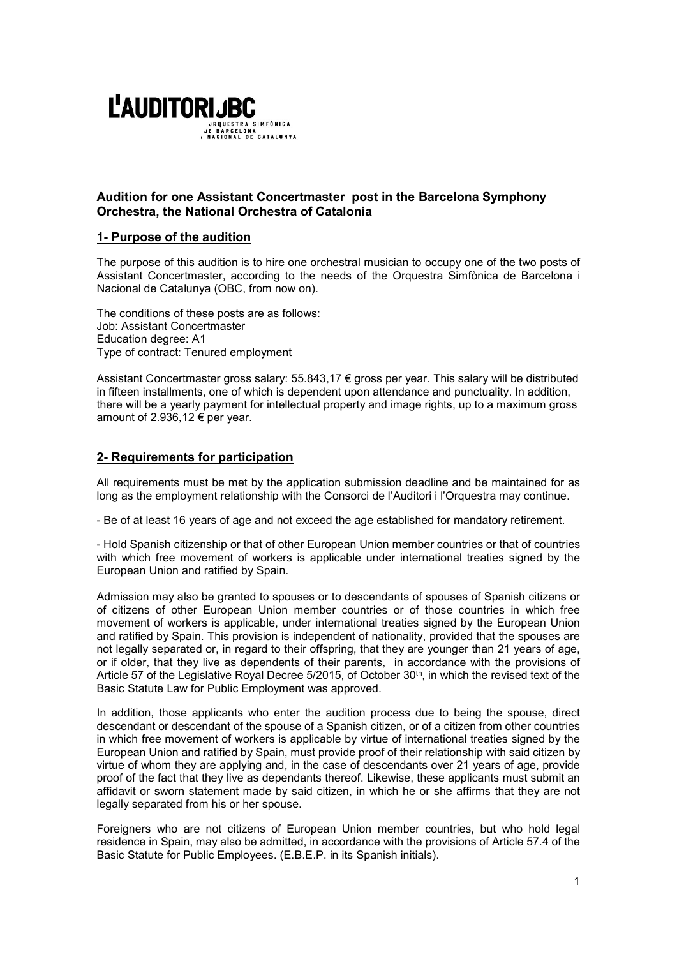

# Audition for one Assistant Concertmaster post in the Barcelona Symphony Orchestra, the National Orchestra of Catalonia

# 1- Purpose of the audition

The purpose of this audition is to hire one orchestral musician to occupy one of the two posts of Assistant Concertmaster, according to the needs of the Orquestra Simfònica de Barcelona i Nacional de Catalunya (OBC, from now on).

The conditions of these posts are as follows: Job: Assistant Concertmaster Education degree: A1 Type of contract: Tenured employment

Assistant Concertmaster gross salary: 55.843,17 € gross per year. This salary will be distributed in fifteen installments, one of which is dependent upon attendance and punctuality. In addition, there will be a yearly payment for intellectual property and image rights, up to a maximum gross amount of 2.936,12 € per year.

# 2- Requirements for participation

All requirements must be met by the application submission deadline and be maintained for as long as the employment relationship with the Consorci de l'Auditori i l'Orquestra may continue.

- Be of at least 16 years of age and not exceed the age established for mandatory retirement.

- Hold Spanish citizenship or that of other European Union member countries or that of countries with which free movement of workers is applicable under international treaties signed by the European Union and ratified by Spain.

Admission may also be granted to spouses or to descendants of spouses of Spanish citizens or of citizens of other European Union member countries or of those countries in which free movement of workers is applicable, under international treaties signed by the European Union and ratified by Spain. This provision is independent of nationality, provided that the spouses are not legally separated or, in regard to their offspring, that they are younger than 21 years of age, or if older, that they live as dependents of their parents, in accordance with the provisions of Article 57 of the Legislative Royal Decree 5/2015, of October 30th, in which the revised text of the Basic Statute Law for Public Employment was approved.

In addition, those applicants who enter the audition process due to being the spouse, direct descendant or descendant of the spouse of a Spanish citizen, or of a citizen from other countries in which free movement of workers is applicable by virtue of international treaties signed by the European Union and ratified by Spain, must provide proof of their relationship with said citizen by virtue of whom they are applying and, in the case of descendants over 21 years of age, provide proof of the fact that they live as dependants thereof. Likewise, these applicants must submit an affidavit or sworn statement made by said citizen, in which he or she affirms that they are not legally separated from his or her spouse.

Foreigners who are not citizens of European Union member countries, but who hold legal residence in Spain, may also be admitted, in accordance with the provisions of Article 57.4 of the Basic Statute for Public Employees. (E.B.E.P. in its Spanish initials).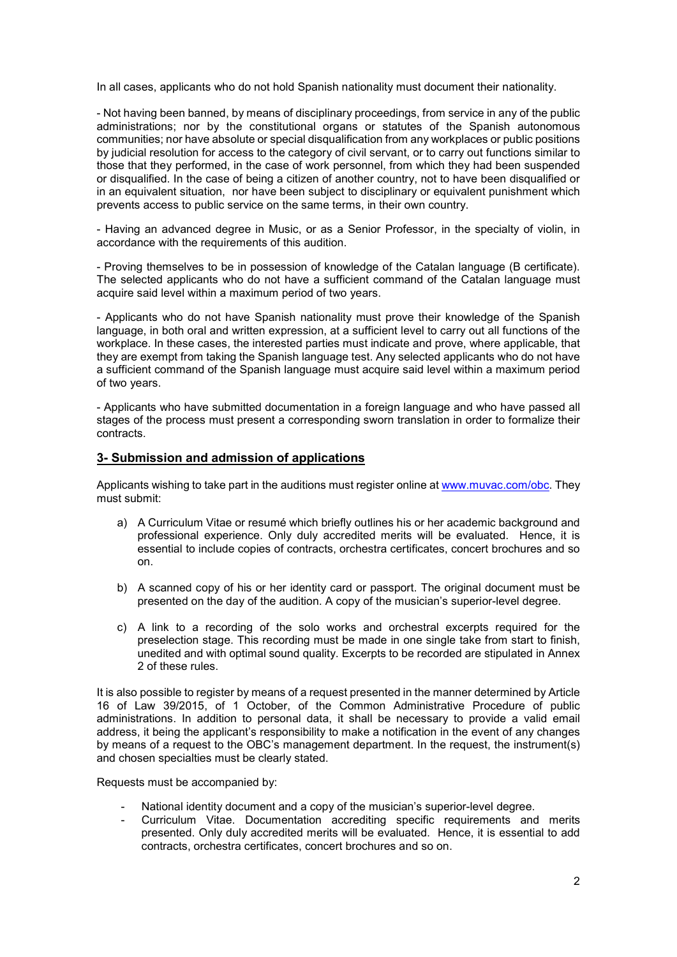In all cases, applicants who do not hold Spanish nationality must document their nationality.

- Not having been banned, by means of disciplinary proceedings, from service in any of the public administrations; nor by the constitutional organs or statutes of the Spanish autonomous communities; nor have absolute or special disqualification from any workplaces or public positions by judicial resolution for access to the category of civil servant, or to carry out functions similar to those that they performed, in the case of work personnel, from which they had been suspended or disqualified. In the case of being a citizen of another country, not to have been disqualified or in an equivalent situation, nor have been subject to disciplinary or equivalent punishment which prevents access to public service on the same terms, in their own country.

- Having an advanced degree in Music, or as a Senior Professor, in the specialty of violin, in accordance with the requirements of this audition.

- Proving themselves to be in possession of knowledge of the Catalan language (B certificate). The selected applicants who do not have a sufficient command of the Catalan language must acquire said level within a maximum period of two years.

- Applicants who do not have Spanish nationality must prove their knowledge of the Spanish language, in both oral and written expression, at a sufficient level to carry out all functions of the workplace. In these cases, the interested parties must indicate and prove, where applicable, that they are exempt from taking the Spanish language test. Any selected applicants who do not have a sufficient command of the Spanish language must acquire said level within a maximum period of two years.

- Applicants who have submitted documentation in a foreign language and who have passed all stages of the process must present a corresponding sworn translation in order to formalize their contracts.

### 3- Submission and admission of applications

Applicants wishing to take part in the auditions must register online at www.muvac.com/obc. They must submit:

- a) A Curriculum Vitae or resumé which briefly outlines his or her academic background and professional experience. Only duly accredited merits will be evaluated. Hence, it is essential to include copies of contracts, orchestra certificates, concert brochures and so on.
- b) A scanned copy of his or her identity card or passport. The original document must be presented on the day of the audition. A copy of the musician's superior-level degree.
- c) A link to a recording of the solo works and orchestral excerpts required for the preselection stage. This recording must be made in one single take from start to finish, unedited and with optimal sound quality. Excerpts to be recorded are stipulated in Annex 2 of these rules.

It is also possible to register by means of a request presented in the manner determined by Article 16 of Law 39/2015, of 1 October, of the Common Administrative Procedure of public administrations. In addition to personal data, it shall be necessary to provide a valid email address, it being the applicant's responsibility to make a notification in the event of any changes by means of a request to the OBC's management department. In the request, the instrument(s) and chosen specialties must be clearly stated.

Requests must be accompanied by:

- National identity document and a copy of the musician's superior-level degree.
- Curriculum Vitae. Documentation accrediting specific requirements and merits presented. Only duly accredited merits will be evaluated. Hence, it is essential to add contracts, orchestra certificates, concert brochures and so on.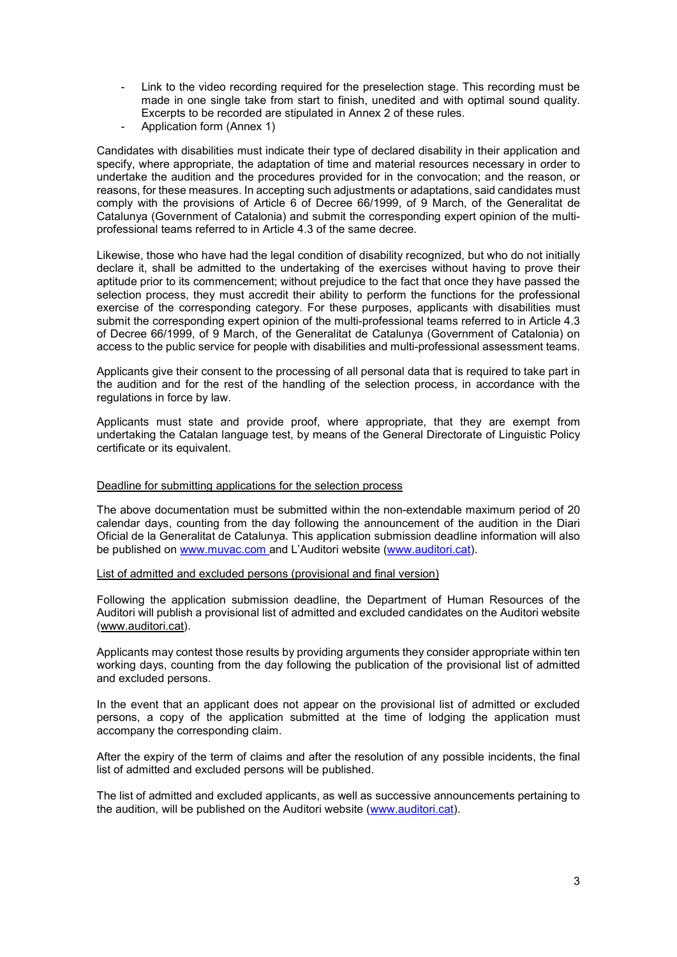- Link to the video recording required for the preselection stage. This recording must be made in one single take from start to finish, unedited and with optimal sound quality. Excerpts to be recorded are stipulated in Annex 2 of these rules.
- Application form (Annex 1)

Candidates with disabilities must indicate their type of declared disability in their application and specify, where appropriate, the adaptation of time and material resources necessary in order to undertake the audition and the procedures provided for in the convocation; and the reason, or reasons, for these measures. In accepting such adjustments or adaptations, said candidates must comply with the provisions of Article 6 of Decree 66/1999, of 9 March, of the Generalitat de Catalunya (Government of Catalonia) and submit the corresponding expert opinion of the multiprofessional teams referred to in Article 4.3 of the same decree.

Likewise, those who have had the legal condition of disability recognized, but who do not initially declare it, shall be admitted to the undertaking of the exercises without having to prove their aptitude prior to its commencement; without prejudice to the fact that once they have passed the selection process, they must accredit their ability to perform the functions for the professional exercise of the corresponding category. For these purposes, applicants with disabilities must submit the corresponding expert opinion of the multi-professional teams referred to in Article 4.3 of Decree 66/1999, of 9 March, of the Generalitat de Catalunya (Government of Catalonia) on access to the public service for people with disabilities and multi-professional assessment teams.

Applicants give their consent to the processing of all personal data that is required to take part in the audition and for the rest of the handling of the selection process, in accordance with the regulations in force by law.

Applicants must state and provide proof, where appropriate, that they are exempt from undertaking the Catalan language test, by means of the General Directorate of Linguistic Policy certificate or its equivalent.

## Deadline for submitting applications for the selection process

The above documentation must be submitted within the non-extendable maximum period of 20 calendar days, counting from the day following the announcement of the audition in the Diari Oficial de la Generalitat de Catalunya. This application submission deadline information will also be published on www.muvac.com and L'Auditori website (www.auditori.cat).

List of admitted and excluded persons (provisional and final version)

Following the application submission deadline, the Department of Human Resources of the Auditori will publish a provisional list of admitted and excluded candidates on the Auditori website (www.auditori.cat).

Applicants may contest those results by providing arguments they consider appropriate within ten working days, counting from the day following the publication of the provisional list of admitted and excluded persons.

In the event that an applicant does not appear on the provisional list of admitted or excluded persons, a copy of the application submitted at the time of lodging the application must accompany the corresponding claim.

After the expiry of the term of claims and after the resolution of any possible incidents, the final list of admitted and excluded persons will be published.

The list of admitted and excluded applicants, as well as successive announcements pertaining to the audition, will be published on the Auditori website (www.auditori.cat).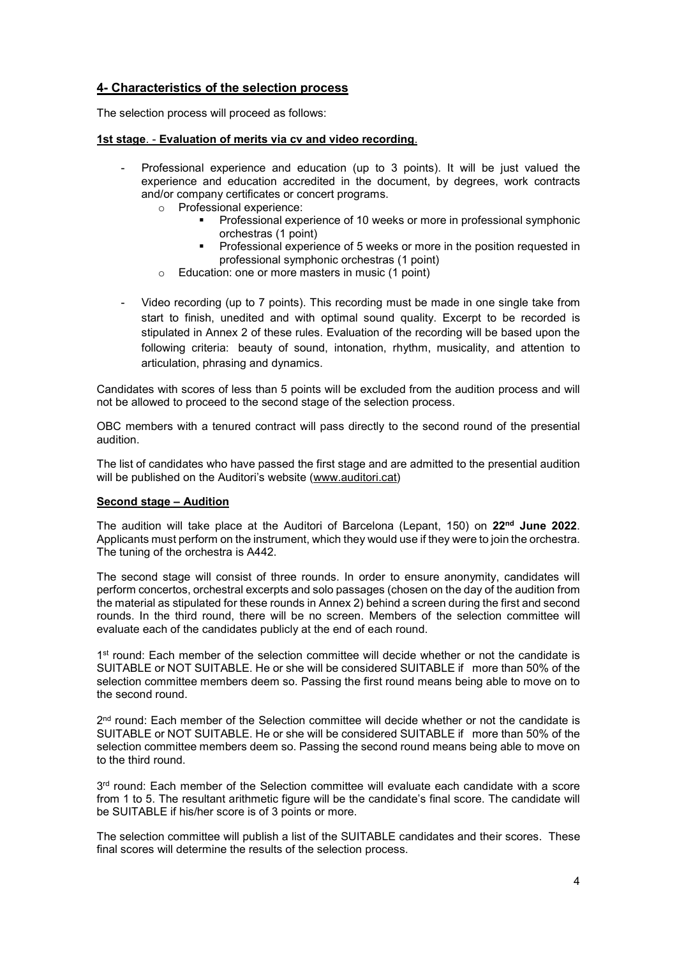# 4- Characteristics of the selection process

The selection process will proceed as follows:

# 1st stage. - Evaluation of merits via cv and video recording.

- Professional experience and education (up to 3 points). It will be just valued the experience and education accredited in the document, by degrees, work contracts and/or company certificates or concert programs.
	- o Professional experience:
		- **Professional experience of 10 weeks or more in professional symphonic** orchestras (1 point)
		- **Professional experience of 5 weeks or more in the position requested in** professional symphonic orchestras (1 point)
	- o Education: one or more masters in music (1 point)
- Video recording (up to 7 points). This recording must be made in one single take from start to finish, unedited and with optimal sound quality. Excerpt to be recorded is stipulated in Annex 2 of these rules. Evaluation of the recording will be based upon the following criteria: beauty of sound, intonation, rhythm, musicality, and attention to articulation, phrasing and dynamics.

Candidates with scores of less than 5 points will be excluded from the audition process and will not be allowed to proceed to the second stage of the selection process.

OBC members with a tenured contract will pass directly to the second round of the presential audition.

The list of candidates who have passed the first stage and are admitted to the presential audition will be published on the Auditori's website (www.auditori.cat)

# Second stage – Audition

The audition will take place at the Auditori of Barcelona (Lepant, 150) on  $22<sup>nd</sup>$  June 2022. Applicants must perform on the instrument, which they would use if they were to join the orchestra. The tuning of the orchestra is A442.

The second stage will consist of three rounds. In order to ensure anonymity, candidates will perform concertos, orchestral excerpts and solo passages (chosen on the day of the audition from the material as stipulated for these rounds in Annex 2) behind a screen during the first and second rounds. In the third round, there will be no screen. Members of the selection committee will evaluate each of the candidates publicly at the end of each round.

1<sup>st</sup> round: Each member of the selection committee will decide whether or not the candidate is SUITABLE or NOT SUITABLE. He or she will be considered SUITABLE if more than 50% of the selection committee members deem so. Passing the first round means being able to move on to the second round.

2<sup>nd</sup> round: Each member of the Selection committee will decide whether or not the candidate is SUITABLE or NOT SUITABLE. He or she will be considered SUITABLE if more than 50% of the selection committee members deem so. Passing the second round means being able to move on to the third round.

3<sup>rd</sup> round: Each member of the Selection committee will evaluate each candidate with a score from 1 to 5. The resultant arithmetic figure will be the candidate's final score. The candidate will be SUITABLE if his/her score is of 3 points or more.

The selection committee will publish a list of the SUITABLE candidates and their scores. These final scores will determine the results of the selection process.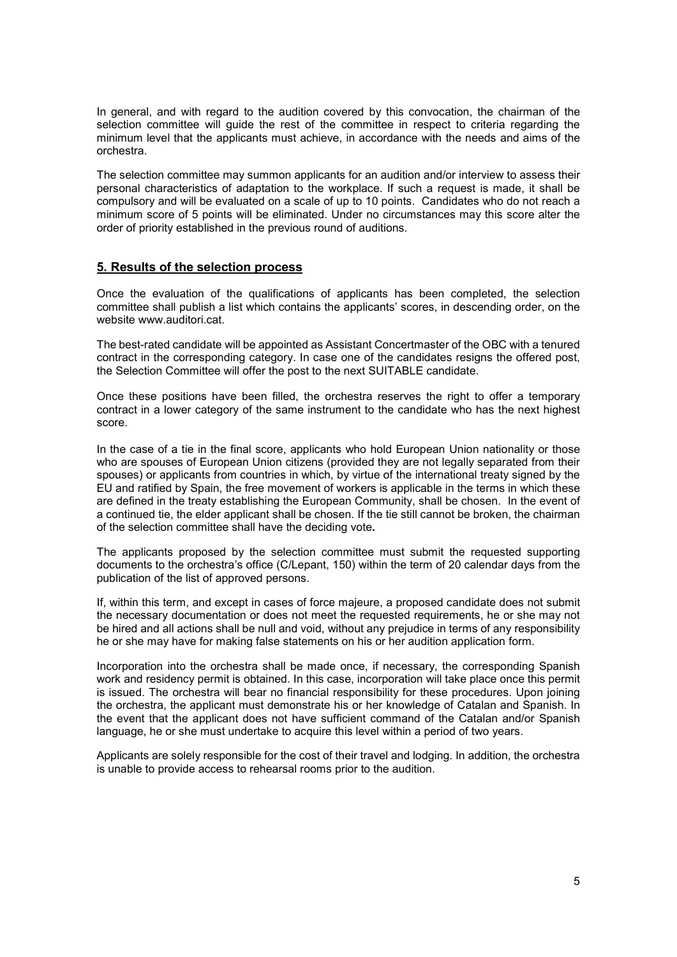In general, and with regard to the audition covered by this convocation, the chairman of the selection committee will guide the rest of the committee in respect to criteria regarding the minimum level that the applicants must achieve, in accordance with the needs and aims of the orchestra.

The selection committee may summon applicants for an audition and/or interview to assess their personal characteristics of adaptation to the workplace. If such a request is made, it shall be compulsory and will be evaluated on a scale of up to 10 points. Candidates who do not reach a minimum score of 5 points will be eliminated. Under no circumstances may this score alter the order of priority established in the previous round of auditions.

# 5. Results of the selection process

Once the evaluation of the qualifications of applicants has been completed, the selection committee shall publish a list which contains the applicants' scores, in descending order, on the website www.auditori.cat.

The best-rated candidate will be appointed as Assistant Concertmaster of the OBC with a tenured contract in the corresponding category. In case one of the candidates resigns the offered post, the Selection Committee will offer the post to the next SUITABLE candidate.

Once these positions have been filled, the orchestra reserves the right to offer a temporary contract in a lower category of the same instrument to the candidate who has the next highest score.

In the case of a tie in the final score, applicants who hold European Union nationality or those who are spouses of European Union citizens (provided they are not legally separated from their spouses) or applicants from countries in which, by virtue of the international treaty signed by the EU and ratified by Spain, the free movement of workers is applicable in the terms in which these are defined in the treaty establishing the European Community, shall be chosen. In the event of a continued tie, the elder applicant shall be chosen. If the tie still cannot be broken, the chairman of the selection committee shall have the deciding vote.

The applicants proposed by the selection committee must submit the requested supporting documents to the orchestra's office (C/Lepant, 150) within the term of 20 calendar days from the publication of the list of approved persons.

If, within this term, and except in cases of force majeure, a proposed candidate does not submit the necessary documentation or does not meet the requested requirements, he or she may not be hired and all actions shall be null and void, without any prejudice in terms of any responsibility he or she may have for making false statements on his or her audition application form.

Incorporation into the orchestra shall be made once, if necessary, the corresponding Spanish work and residency permit is obtained. In this case, incorporation will take place once this permit is issued. The orchestra will bear no financial responsibility for these procedures. Upon joining the orchestra, the applicant must demonstrate his or her knowledge of Catalan and Spanish. In the event that the applicant does not have sufficient command of the Catalan and/or Spanish language, he or she must undertake to acquire this level within a period of two years.

Applicants are solely responsible for the cost of their travel and lodging. In addition, the orchestra is unable to provide access to rehearsal rooms prior to the audition.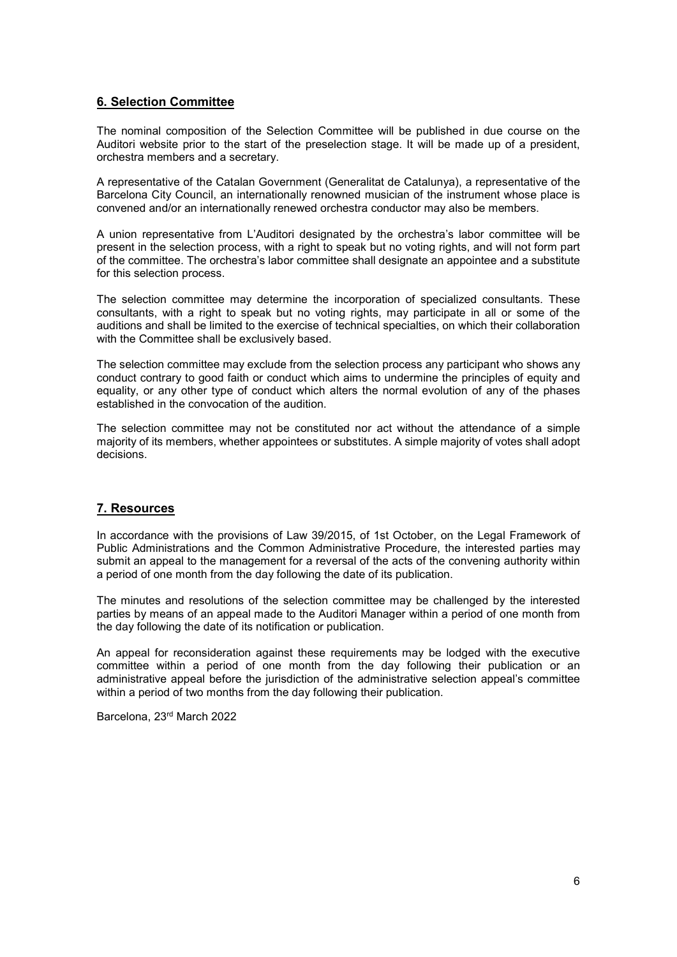# 6. Selection Committee

The nominal composition of the Selection Committee will be published in due course on the Auditori website prior to the start of the preselection stage. It will be made up of a president, orchestra members and a secretary.

A representative of the Catalan Government (Generalitat de Catalunya), a representative of the Barcelona City Council, an internationally renowned musician of the instrument whose place is convened and/or an internationally renewed orchestra conductor may also be members.

A union representative from L'Auditori designated by the orchestra's labor committee will be present in the selection process, with a right to speak but no voting rights, and will not form part of the committee. The orchestra's labor committee shall designate an appointee and a substitute for this selection process.

The selection committee may determine the incorporation of specialized consultants. These consultants, with a right to speak but no voting rights, may participate in all or some of the auditions and shall be limited to the exercise of technical specialties, on which their collaboration with the Committee shall be exclusively based.

The selection committee may exclude from the selection process any participant who shows any conduct contrary to good faith or conduct which aims to undermine the principles of equity and equality, or any other type of conduct which alters the normal evolution of any of the phases established in the convocation of the audition.

The selection committee may not be constituted nor act without the attendance of a simple majority of its members, whether appointees or substitutes. A simple majority of votes shall adopt decisions.

# 7. Resources

In accordance with the provisions of Law 39/2015, of 1st October, on the Legal Framework of Public Administrations and the Common Administrative Procedure, the interested parties may submit an appeal to the management for a reversal of the acts of the convening authority within a period of one month from the day following the date of its publication.

The minutes and resolutions of the selection committee may be challenged by the interested parties by means of an appeal made to the Auditori Manager within a period of one month from the day following the date of its notification or publication.

An appeal for reconsideration against these requirements may be lodged with the executive committee within a period of one month from the day following their publication or an administrative appeal before the jurisdiction of the administrative selection appeal's committee within a period of two months from the day following their publication.

Barcelona, 23rd March 2022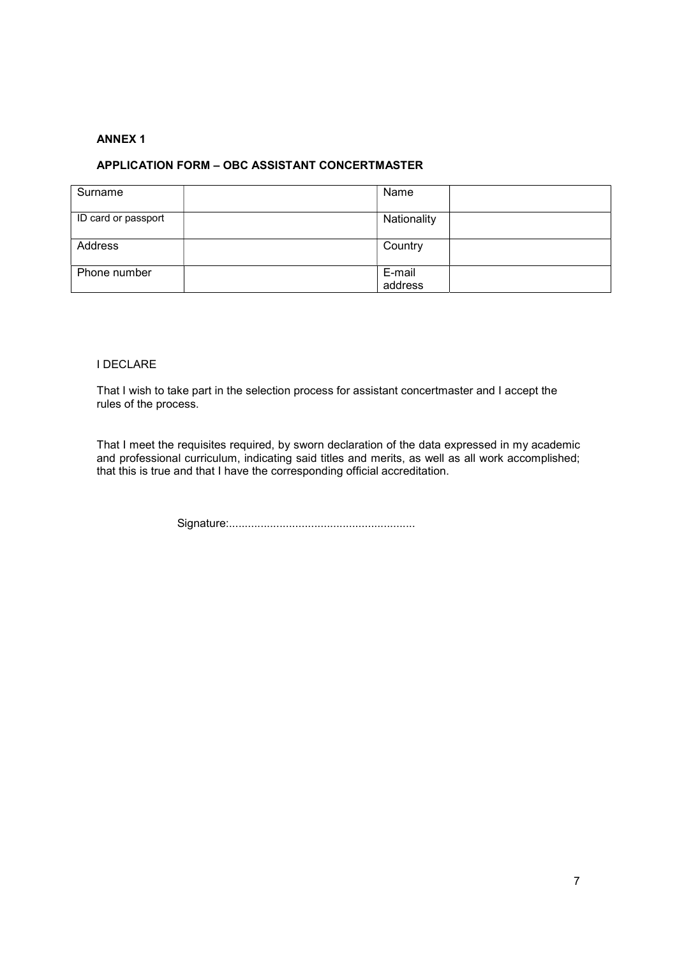# ANNEX 1

# APPLICATION FORM – OBC ASSISTANT CONCERTMASTER

| Surname             | Name              |
|---------------------|-------------------|
| ID card or passport | Nationality       |
| Address             | Country           |
| Phone number        | E-mail<br>address |

# I DECLARE

That I wish to take part in the selection process for assistant concertmaster and I accept the rules of the process.

That I meet the requisites required, by sworn declaration of the data expressed in my academic and professional curriculum, indicating said titles and merits, as well as all work accomplished; that this is true and that I have the corresponding official accreditation.

Signature:...........................................................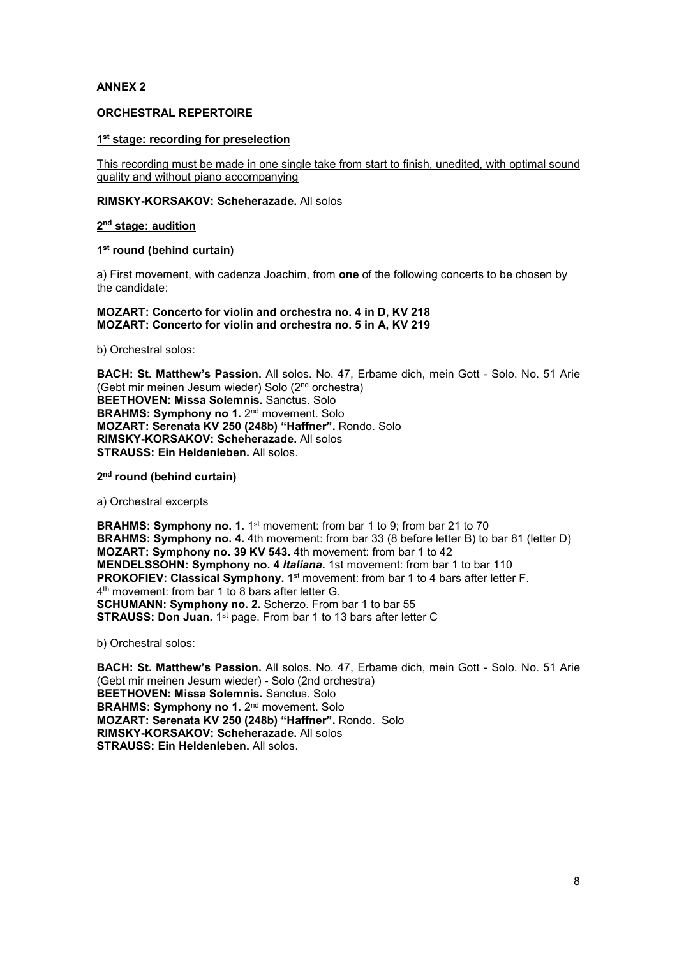# ANNEX 2

# ORCHESTRAL REPERTOIRE

#### 1<sup>st</sup> stage: recording for preselection

This recording must be made in one single take from start to finish, unedited, with optimal sound quality and without piano accompanying

#### RIMSKY-KORSAKOV: Scheherazade. All solos

#### 2<sup>nd</sup> stage: audition

## 1<sup>st</sup> round (behind curtain)

a) First movement, with cadenza Joachim, from one of the following concerts to be chosen by the candidate:

#### MOZART: Concerto for violin and orchestra no. 4 in D, KV 218 MOZART: Concerto for violin and orchestra no. 5 in A, KV 219

b) Orchestral solos:

BACH: St. Matthew's Passion. All solos. No. 47, Erbame dich, mein Gott - Solo. No. 51 Arie (Gebt mir meinen Jesum wieder) Solo (2nd orchestra) BEETHOVEN: Missa Solemnis. Sanctus. Solo BRAHMS: Symphony no 1. 2<sup>nd</sup> movement. Solo MOZART: Serenata KV 250 (248b) "Haffner". Rondo. Solo RIMSKY-KORSAKOV: Scheherazade. All solos STRAUSS: Ein Heldenleben. All solos.

2<sup>nd</sup> round (behind curtain)

a) Orchestral excerpts

**BRAHMS: Symphony no. 1.** 1<sup>st</sup> movement: from bar 1 to 9; from bar 21 to 70 BRAHMS: Symphony no. 4. 4th movement: from bar 33 (8 before letter B) to bar 81 (letter D) MOZART: Symphony no. 39 KV 543. 4th movement: from bar 1 to 42 MENDELSSOHN: Symphony no. 4 Italiana. 1st movement: from bar 1 to bar 110 PROKOFIEV: Classical Symphony. 1<sup>st</sup> movement: from bar 1 to 4 bars after letter F. 4 th movement: from bar 1 to 8 bars after letter G. SCHUMANN: Symphony no. 2. Scherzo. From bar 1 to bar 55 STRAUSS: Don Juan. 1<sup>st</sup> page. From bar 1 to 13 bars after letter C

b) Orchestral solos:

BACH: St. Matthew's Passion. All solos. No. 47, Erbame dich, mein Gott - Solo. No. 51 Arie (Gebt mir meinen Jesum wieder) - Solo (2nd orchestra) BEETHOVEN: Missa Solemnis. Sanctus. Solo BRAHMS: Symphony no 1. 2<sup>nd</sup> movement. Solo MOZART: Serenata KV 250 (248b) "Haffner". Rondo. Solo RIMSKY-KORSAKOV: Scheherazade. All solos STRAUSS: Ein Heldenleben. All solos.